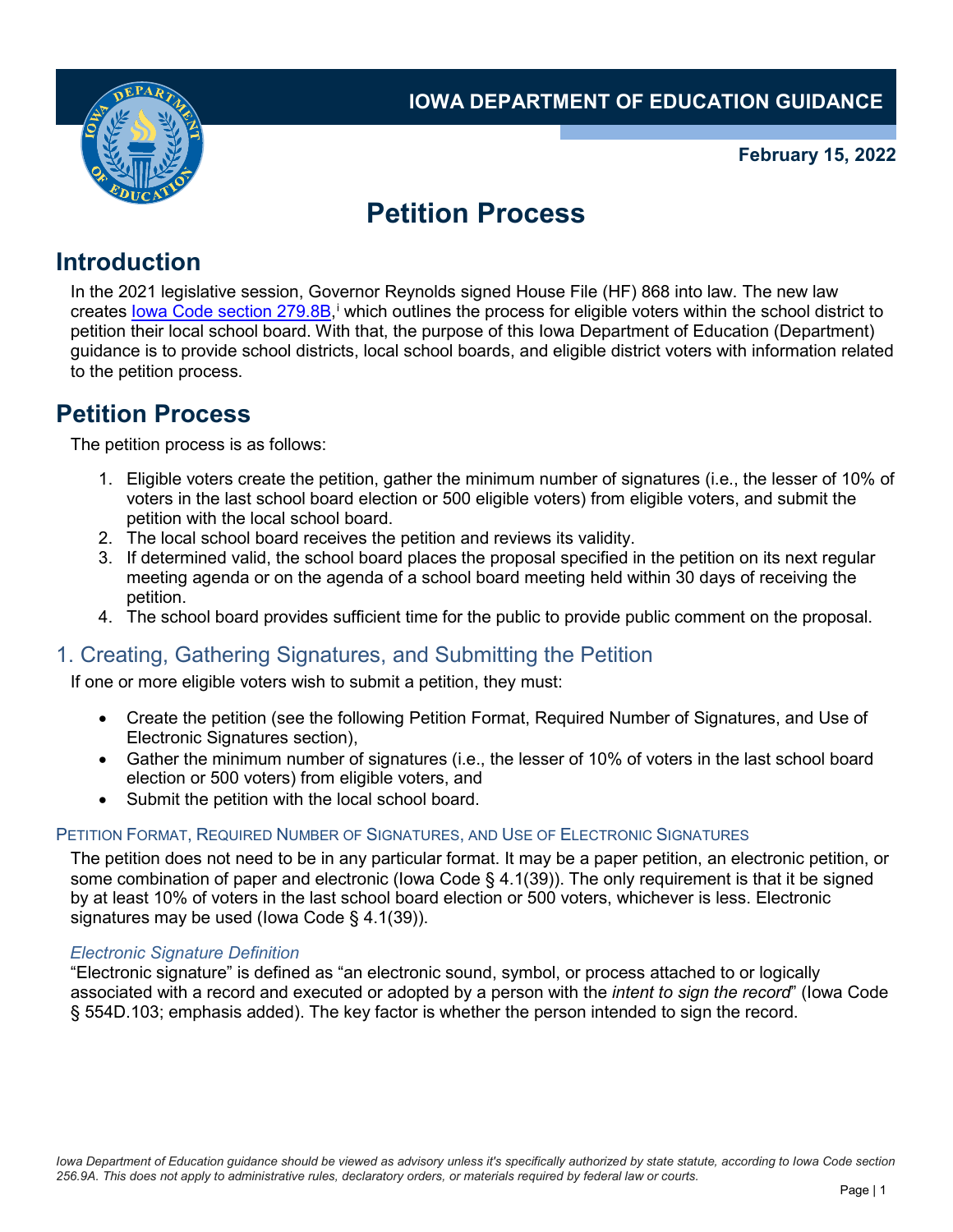

### **February 15, 2022**

# **Petition Process**

## **Introduction**

In the 2021 legislative session, Governor Reynolds signed House File (HF) 868 into law. The new law creates lowa Code sect[i](#page-3-0)on 279.8B,<sup>i</sup> which outlines the process for eligible voters within the school district to petition their local school board. With that, the purpose of this Iowa Department of Education (Department) guidance is to provide school districts, local school boards, and eligible district voters with information related to the petition process.

## **Petition Process**

The petition process is as follows:

- 1. Eligible voters create the petition, gather the minimum number of signatures (i.e., the lesser of 10% of voters in the last school board election or 500 eligible voters) from eligible voters, and submit the petition with the local school board.
- 2. The local school board receives the petition and reviews its validity.
- 3. If determined valid, the school board places the proposal specified in the petition on its next regular meeting agenda or on the agenda of a school board meeting held within 30 days of receiving the petition.
- 4. The school board provides sufficient time for the public to provide public comment on the proposal.

### 1. Creating, Gathering Signatures, and Submitting the Petition

If one or more eligible voters wish to submit a petition, they must:

- Create the petition (see the following [Petition Format, Required Number of Signatures, and Use of](#page-0-0) [Electronic Signatures](#page-0-0) section),
- Gather the minimum number of signatures (i.e., the lesser of 10% of voters in the last school board election or 500 voters) from eligible voters, and
- Submit the petition with the local school board.

### <span id="page-0-0"></span>PETITION FORMAT, REQUIRED NUMBER OF SIGNATURES, AND USE OF ELECTRONIC SIGNATURES

The petition does not need to be in any particular format. It may be a paper petition, an electronic petition, or some combination of paper and electronic (lowa Code § 4.1(39)). The only requirement is that it be signed by at least 10% of voters in the last school board election or 500 voters, whichever is less. Electronic signatures may be used (Iowa Code § 4.1(39)).

#### *Electronic Signature Definition*

<span id="page-0-1"></span>"Electronic signature" is defined as "an electronic sound, symbol, or process attached to or logically associated with a record and executed or adopted by a person with the *intent to sign the record*" (Iowa Code § 554D.103; emphasis added). The key factor is whether the person intended to sign the record.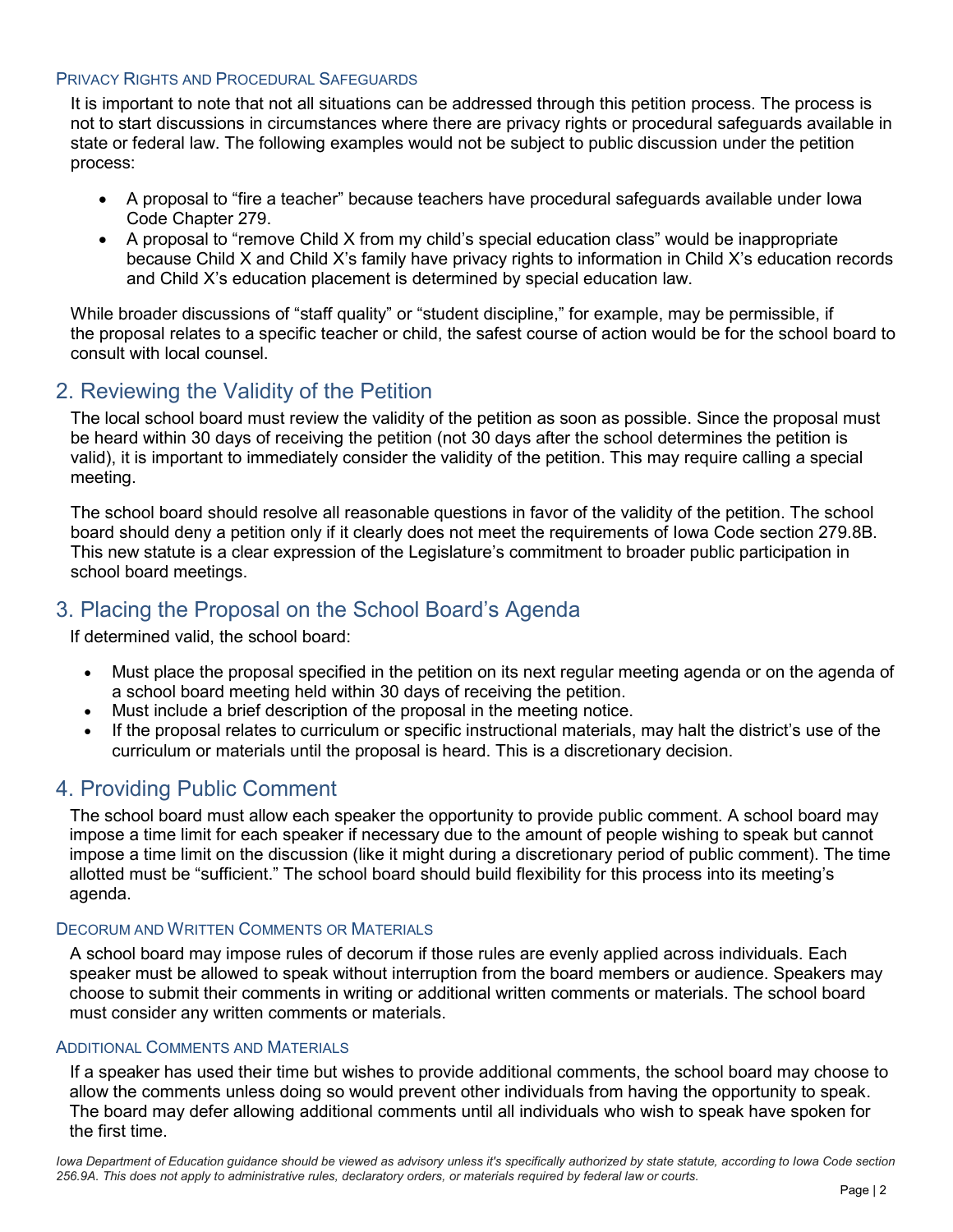#### PRIVACY RIGHTS AND PROCEDURAL SAFEGUARDS

It is important to note that not all situations can be addressed through this petition process. The process is not to start discussions in circumstances where there are privacy rights or procedural safeguards available in state or federal law. The following examples would not be subject to public discussion under the petition process:

- A proposal to "fire a teacher" because teachers have procedural safeguards available under Iowa Code Chapter 279.
- A proposal to "remove Child X from my child's special education class" would be inappropriate because Child X and Child X's family have privacy rights to information in Child X's education records and Child X's education placement is determined by special education law.

While broader discussions of "staff quality" or "student discipline," for example, may be permissible, if the proposal relates to a specific teacher or child, the safest course of action would be for the school board to consult with local counsel.

### 2. Reviewing the Validity of the Petition

The local school board must review the validity of the petition as soon as possible. Since the proposal must be heard within 30 days of receiving the petition (not 30 days after the school determines the petition is valid), it is important to immediately consider the validity of the petition. This may require calling a special meeting.

The school board should resolve all reasonable questions in favor of the validity of the petition. The school board should deny a petition only if it clearly does not meet the requirements of Iowa Code section 279.8B. This new statute is a clear expression of the Legislature's commitment to broader public participation in school board meetings.

### 3. Placing the Proposal on the School Board's Agenda

If determined valid, the school board:

- Must place the proposal specified in the petition on its next regular meeting agenda or on the agenda of a school board meeting held within 30 days of receiving the petition.
- Must include a brief description of the proposal in the meeting notice.
- If the proposal relates to curriculum or specific instructional materials, may halt the district's use of the curriculum or materials until the proposal is heard. This is a discretionary decision.

### 4. Providing Public Comment

The school board must allow each speaker the opportunity to provide public comment. A school board may impose a time limit for each speaker if necessary due to the amount of people wishing to speak but cannot impose a time limit on the discussion (like it might during a discretionary period of public comment). The time allotted must be "sufficient." The school board should build flexibility for this process into its meeting's agenda.

#### DECORUM AND WRITTEN COMMENTS OR MATERIALS

A school board may impose rules of decorum if those rules are evenly applied across individuals. Each speaker must be allowed to speak without interruption from the board members or audience. Speakers may choose to submit their comments in writing or additional written comments or materials. The school board must consider any written comments or materials.

#### ADDITIONAL COMMENTS AND MATERIALS

If a speaker has used their time but wishes to provide additional comments, the school board may choose to allow the comments unless doing so would prevent other individuals from having the opportunity to speak. The board may defer allowing additional comments until all individuals who wish to speak have spoken for the first time.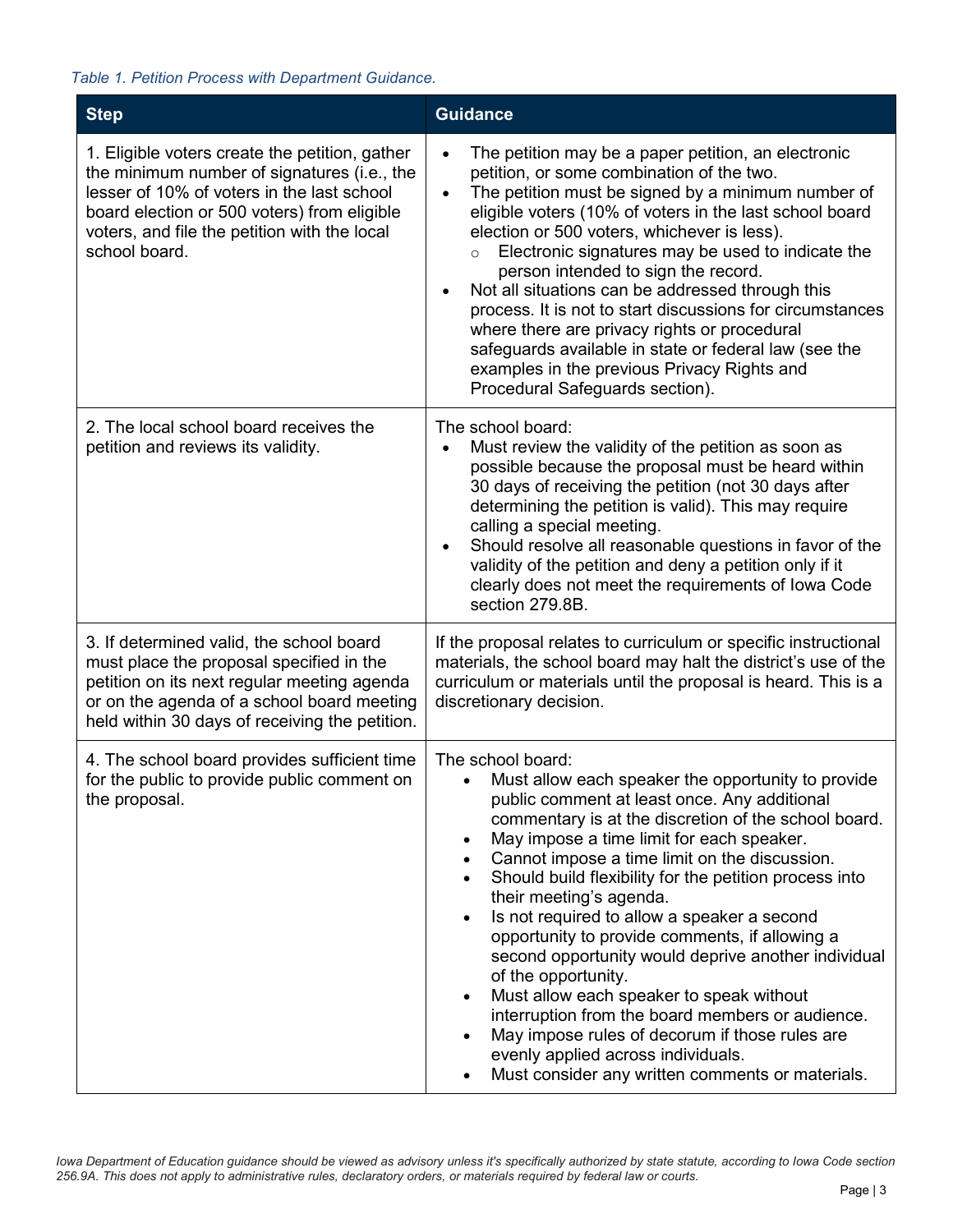### *Table 1. Petition Process with Department Guidance.*

| <b>Step</b>                                                                                                                                                                                                                                                 | <b>Guidance</b>                                                                                                                                                                                                                                                                                                                                                                                                                                                                                                                                                                                                                                                                                                                                                                                                                                   |
|-------------------------------------------------------------------------------------------------------------------------------------------------------------------------------------------------------------------------------------------------------------|---------------------------------------------------------------------------------------------------------------------------------------------------------------------------------------------------------------------------------------------------------------------------------------------------------------------------------------------------------------------------------------------------------------------------------------------------------------------------------------------------------------------------------------------------------------------------------------------------------------------------------------------------------------------------------------------------------------------------------------------------------------------------------------------------------------------------------------------------|
| 1. Eligible voters create the petition, gather<br>the minimum number of signatures (i.e., the<br>lesser of 10% of voters in the last school<br>board election or 500 voters) from eligible<br>voters, and file the petition with the local<br>school board. | The petition may be a paper petition, an electronic<br>petition, or some combination of the two.<br>The petition must be signed by a minimum number of<br>$\bullet$<br>eligible voters (10% of voters in the last school board<br>election or 500 voters, whichever is less).<br>Electronic signatures may be used to indicate the<br>$\circ$<br>person intended to sign the record.<br>Not all situations can be addressed through this<br>process. It is not to start discussions for circumstances<br>where there are privacy rights or procedural<br>safeguards available in state or federal law (see the<br>examples in the previous Privacy Rights and<br>Procedural Safeguards section).                                                                                                                                                  |
| 2. The local school board receives the<br>petition and reviews its validity.                                                                                                                                                                                | The school board:<br>Must review the validity of the petition as soon as<br>possible because the proposal must be heard within<br>30 days of receiving the petition (not 30 days after<br>determining the petition is valid). This may require<br>calling a special meeting.<br>Should resolve all reasonable questions in favor of the<br>validity of the petition and deny a petition only if it<br>clearly does not meet the requirements of lowa Code<br>section 279.8B.                                                                                                                                                                                                                                                                                                                                                                      |
| 3. If determined valid, the school board<br>must place the proposal specified in the<br>petition on its next regular meeting agenda<br>or on the agenda of a school board meeting<br>held within 30 days of receiving the petition.                         | If the proposal relates to curriculum or specific instructional<br>materials, the school board may halt the district's use of the<br>curriculum or materials until the proposal is heard. This is a<br>discretionary decision.                                                                                                                                                                                                                                                                                                                                                                                                                                                                                                                                                                                                                    |
| 4. The school board provides sufficient time<br>for the public to provide public comment on<br>the proposal.                                                                                                                                                | The school board:<br>Must allow each speaker the opportunity to provide<br>$\bullet$<br>public comment at least once. Any additional<br>commentary is at the discretion of the school board.<br>May impose a time limit for each speaker.<br>$\bullet$<br>Cannot impose a time limit on the discussion.<br>Should build flexibility for the petition process into<br>their meeting's agenda.<br>Is not required to allow a speaker a second<br>$\bullet$<br>opportunity to provide comments, if allowing a<br>second opportunity would deprive another individual<br>of the opportunity.<br>Must allow each speaker to speak without<br>$\bullet$<br>interruption from the board members or audience.<br>May impose rules of decorum if those rules are<br>evenly applied across individuals.<br>Must consider any written comments or materials. |